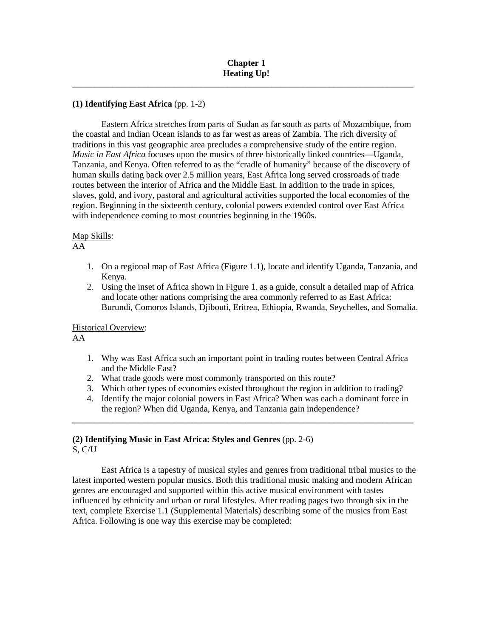\_\_\_\_\_\_\_\_\_\_\_\_\_\_\_\_\_\_\_\_\_\_\_\_\_\_\_\_\_\_\_\_\_\_\_\_\_\_\_\_\_\_\_\_\_\_\_\_\_\_\_\_\_\_\_\_\_\_\_\_\_\_\_\_\_\_\_\_\_\_\_\_\_\_\_\_\_

# **(1) Identifying East Africa** (pp. 1-2)

Eastern Africa stretches from parts of Sudan as far south as parts of Mozambique, from the coastal and Indian Ocean islands to as far west as areas of Zambia. The rich diversity of traditions in this vast geographic area precludes a comprehensive study of the entire region. *Music in East Africa* focuses upon the musics of three historically linked countries—Uganda, Tanzania, and Kenya. Often referred to as the "cradle of humanity" because of the discovery of human skulls dating back over 2.5 million years, East Africa long served crossroads of trade routes between the interior of Africa and the Middle East. In addition to the trade in spices, slaves, gold, and ivory, pastoral and agricultural activities supported the local economies of the region. Beginning in the sixteenth century, colonial powers extended control over East Africa with independence coming to most countries beginning in the 1960s.

#### Map Skills:

#### AA

- 1. On a regional map of East Africa (Figure 1.1), locate and identify Uganda, Tanzania, and Kenya.
- 2. Using the inset of Africa shown in Figure 1. as a guide, consult a detailed map of Africa and locate other nations comprising the area commonly referred to as East Africa: Burundi, Comoros Islands, Djibouti, Eritrea, Ethiopia, Rwanda, Seychelles, and Somalia.

Historical Overview:

AA

- 1. Why was East Africa such an important point in trading routes between Central Africa and the Middle East?
- 2. What trade goods were most commonly transported on this route?
- 3. Which other types of economies existed throughout the region in addition to trading?
- 4. Identify the major colonial powers in East Africa? When was each a dominant force in the region? When did Uganda, Kenya, and Tanzania gain independence?

**\_\_\_\_\_\_\_\_\_\_\_\_\_\_\_\_\_\_\_\_\_\_\_\_\_\_\_\_\_\_\_\_\_\_\_\_\_\_\_\_\_\_\_\_\_\_\_\_\_\_\_\_\_\_\_\_\_\_\_\_\_\_\_\_\_\_\_\_\_\_\_\_\_\_\_\_\_**

## **(2) Identifying Music in East Africa: Styles and Genres** (pp. 2-6) S, C/U

East Africa is a tapestry of musical styles and genres from traditional tribal musics to the latest imported western popular musics. Both this traditional music making and modern African genres are encouraged and supported within this active musical environment with tastes influenced by ethnicity and urban or rural lifestyles. After reading pages two through six in the text, complete Exercise 1.1 (Supplemental Materials) describing some of the musics from East Africa. Following is one way this exercise may be completed: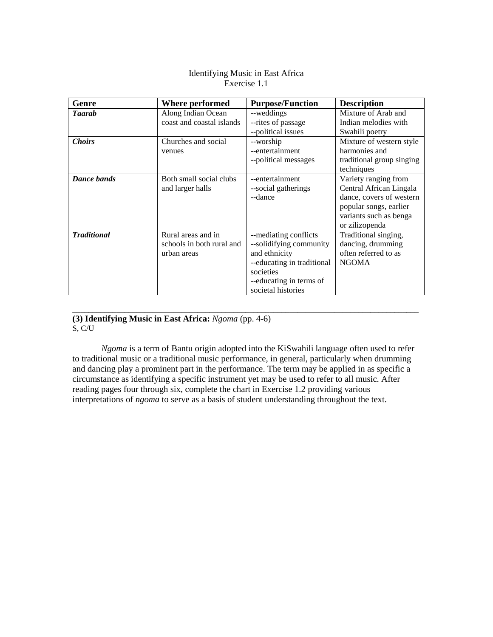| Identifying Music in East Africa |
|----------------------------------|
| Exercise 1.1                     |

| Genre              | Where performed           | <b>Purpose/Function</b>    | <b>Description</b>        |
|--------------------|---------------------------|----------------------------|---------------------------|
| <b>Taarah</b>      | Along Indian Ocean        | --weddings                 | Mixture of Arab and       |
|                    | coast and coastal islands | --rites of passage         | Indian melodies with      |
|                    |                           | --political issues         | Swahili poetry            |
| <b>Choirs</b>      | Churches and social       | --worship                  | Mixture of western style  |
|                    | venues                    | --entertainment            | harmonies and             |
|                    |                           | --political messages       | traditional group singing |
|                    |                           |                            | techniques                |
| Dance bands        | Both small social clubs   | --entertainment            | Variety ranging from      |
|                    | and larger halls          | --social gatherings        | Central African Lingala   |
|                    |                           | --dance                    | dance, covers of western  |
|                    |                           |                            | popular songs, earlier    |
|                    |                           |                            | variants such as benga    |
|                    |                           |                            | or zilizopenda            |
| <b>Traditional</b> | Rural areas and in        | --mediating conflicts      | Traditional singing,      |
|                    | schools in both rural and | --solidifying community    | dancing, drumming         |
|                    | urban areas               | and ethnicity              | often referred to as      |
|                    |                           | --educating in traditional | <b>NGOMA</b>              |
|                    |                           | societies                  |                           |
|                    |                           | --educating in terms of    |                           |
|                    |                           | societal histories         |                           |

#### **(3) Identifying Music in East Africa:** *Ngoma* (pp. 4-6)  $S, C/U$

*Ngoma* is a term of Bantu origin adopted into the KiSwahili language often used to refer to traditional music or a traditional music performance, in general, particularly when drumming and dancing play a prominent part in the performance. The term may be applied in as specific a circumstance as identifying a specific instrument yet may be used to refer to all music. After reading pages four through six, complete the chart in Exercise 1.2 providing various interpretations of *ngoma* to serve as a basis of student understanding throughout the text.

\_\_\_\_\_\_\_\_\_\_\_\_\_\_\_\_\_\_\_\_\_\_\_\_\_\_\_\_\_\_\_\_\_\_\_\_\_\_\_\_\_\_\_\_\_\_\_\_\_\_\_\_\_\_\_\_\_\_\_\_\_\_\_\_\_\_\_\_\_\_\_\_\_\_\_\_\_\_\_\_\_\_\_\_\_\_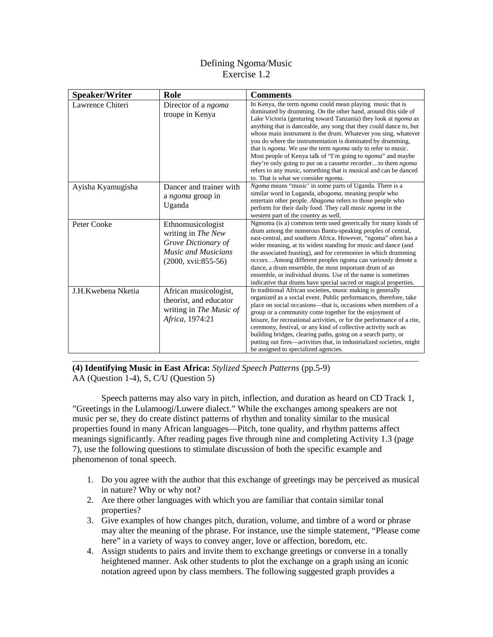# Defining Ngoma/Music Exercise 1.2

| <b>Speaker/Writer</b> | Role                                                                                                           | <b>Comments</b>                                                                                                                                                                                                                                                                                                                                                                                                                                                                                                                                                                                                                                                                                                                              |
|-----------------------|----------------------------------------------------------------------------------------------------------------|----------------------------------------------------------------------------------------------------------------------------------------------------------------------------------------------------------------------------------------------------------------------------------------------------------------------------------------------------------------------------------------------------------------------------------------------------------------------------------------------------------------------------------------------------------------------------------------------------------------------------------------------------------------------------------------------------------------------------------------------|
| Lawrence Chiteri      | Director of a ngoma<br>troupe in Kenya                                                                         | In Kenya, the term <i>ngoma</i> could mean playing music that is<br>dominated by drumming. On the other hand, around this side of<br>Lake Victoria (gesturing toward Tanzania) they look at ngoma as<br>anything that is danceable, any song that they could dance to, but<br>whose main instrument is the drum. Whatever you sing, whatever<br>you do where the instrumentation is dominated by drumming,<br>that is <i>ngoma</i> . We use the term <i>ngoma</i> only to refer to music.<br>Most people of Kenya talk of "I'm going to <i>ngoma</i> " and maybe<br>they're only going to put on a cassette recorderto them ngoma<br>refers to any music, something that is musical and can be danced<br>to. That is what we consider ngoma. |
| Ayisha Kyamugisha     | Dancer and trainer with<br>a ngoma group in<br>Uganda                                                          | <i>Ngoma</i> means "music" in some parts of Uganda. There is a<br>similar word in Luganda, <i>abogoma</i> , meaning people who<br>entertain other people. Abagoma refers to those people who<br>perform for their daily food. They call music ngoma in the<br>western part of the country as well.                                                                                                                                                                                                                                                                                                                                                                                                                                           |
| Peter Cooke           | Ethnomusicologist<br>writing in The New<br>Grove Dictionary of<br>Music and Musicians<br>$(2000, xvi: 855-56)$ | Ngmoma (is a) common term used generically for many kinds of<br>drum among the numerous Bantu-speaking peoples of central,<br>east-central, and southern Africa. However, "ngoma" often has a<br>wider meaning, at its widest standing for music and dance (and<br>the associated feasting), and for ceremonies in which drumming<br>occursAmong different peoples ngoma can variously denote a<br>dance, a drum ensemble, the most important drum of an<br>ensemble, or individual drums. Use of the name is sometimes<br>indicative that drums have special sacred or magical properties.                                                                                                                                                  |
| J.H.Kwebena Nketia    | African musicologist,<br>theorist, and educator<br>writing in The Music of<br>Africa, 1974:21                  | In traditional African societies, music making is generally<br>organized as a social event. Public performances, therefore, take<br>place on social occasions—that is, occasions when members of a<br>group or a community come together for the enjoyment of<br>leisure, for recreational activities, or for the performance of a rite,<br>ceremony, festival, or any kind of collective activity such as<br>building bridges, clearing paths, going on a search party, or<br>putting out fires—activities that, in industrialized societies, might<br>be assigned to specialized agencies.                                                                                                                                                 |

**(4) Identifying Music in East Africa:** *Stylized Speech Patterns* (pp.5-9) AA (Question 1-4), S, C/U (Question 5)

Speech patterns may also vary in pitch, inflection, and duration as heard on CD Track 1, "Greetings in the Lulamoogi/Luwere dialect." While the exchanges among speakers are not music per se, they do create distinct patterns of rhythm and tonality similar to the musical properties found in many African languages—Pitch, tone quality, and rhythm patterns affect meanings significantly. After reading pages five through nine and completing Activity 1.3 (page 7), use the following questions to stimulate discussion of both the specific example and phenomenon of tonal speech.

- 1. Do you agree with the author that this exchange of greetings may be perceived as musical in nature? Why or why not?
- 2. Are there other languages with which you are familiar that contain similar tonal properties?
- 3. Give examples of how changes pitch, duration, volume, and timbre of a word or phrase may alter the meaning of the phrase. For instance, use the simple statement, "Please come here" in a variety of ways to convey anger, love or affection, boredom, etc.
- 4. Assign students to pairs and invite them to exchange greetings or converse in a tonally heightened manner. Ask other students to plot the exchange on a graph using an iconic notation agreed upon by class members. The following suggested graph provides a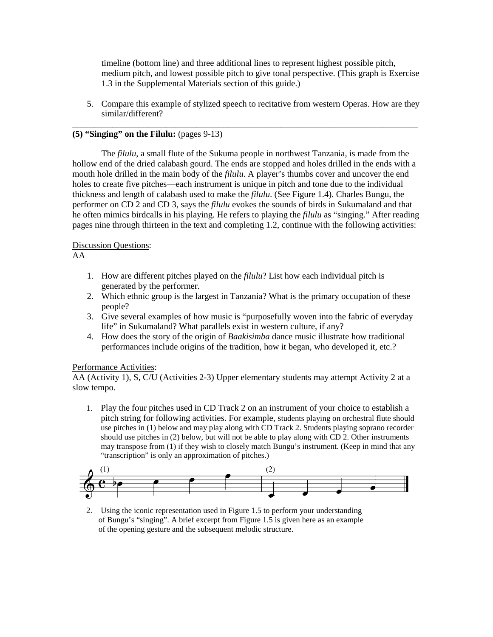timeline (bottom line) and three additional lines to represent highest possible pitch, medium pitch, and lowest possible pitch to give tonal perspective. (This graph is Exercise 1.3 in the Supplemental Materials section of this guide.)

5. Compare this example of stylized speech to recitative from western Operas. How are they similar/different?

\_\_\_\_\_\_\_\_\_\_\_\_\_\_\_\_\_\_\_\_\_\_\_\_\_\_\_\_\_\_\_\_\_\_\_\_\_\_\_\_\_\_\_\_\_\_\_\_\_\_\_\_\_\_\_\_\_\_\_\_\_\_\_\_\_\_\_\_\_\_\_\_\_\_\_\_\_\_

## **(5) "Singing" on the Filulu:** (pages 9-13)

The *filulu*, a small flute of the Sukuma people in northwest Tanzania, is made from the hollow end of the dried calabash gourd. The ends are stopped and holes drilled in the ends with a mouth hole drilled in the main body of the *filulu*. A player's thumbs cover and uncover the end holes to create five pitches—each instrument is unique in pitch and tone due to the individual thickness and length of calabash used to make the *filulu*. (See Figure 1.4). Charles Bungu, the performer on CD 2 and CD 3, says the *filulu* evokes the sounds of birds in Sukumaland and that he often mimics birdcalls in his playing. He refers to playing the *filulu* as "singing." After reading pages nine through thirteen in the text and completing 1.2, continue with the following activities:

## Discussion Questions:

## AA

- 1. How are different pitches played on the *filulu*? List how each individual pitch is generated by the performer.
- 2. Which ethnic group is the largest in Tanzania? What is the primary occupation of these people?
- 3. Give several examples of how music is "purposefully woven into the fabric of everyday life" in Sukumaland? What parallels exist in western culture, if any?
- 4. How does the story of the origin of *Baakisimba* dance music illustrate how traditional performances include origins of the tradition, how it began, who developed it, etc.?

## Performance Activities:

AA (Activity 1), S, C/U (Activities 2-3) Upper elementary students may attempt Activity 2 at a slow tempo.

1. Play the four pitches used in CD Track 2 on an instrument of your choice to establish a pitch string for following activities. For example, students playing on orchestral flute should use pitches in (1) below and may play along with CD Track 2. Students playing soprano recorder should use pitches in (2) below, but will not be able to play along with CD 2. Other instruments may transpose from (1) if they wish to closely match Bungu's instrument. (Keep in mind that any "transcription" is only an approximation of pitches.)



2. Using the iconic representation used in Figure 1.5 to perform your understanding of Bungu's "singing". A brief excerpt from Figure 1.5 is given here as an example of the opening gesture and the subsequent melodic structure.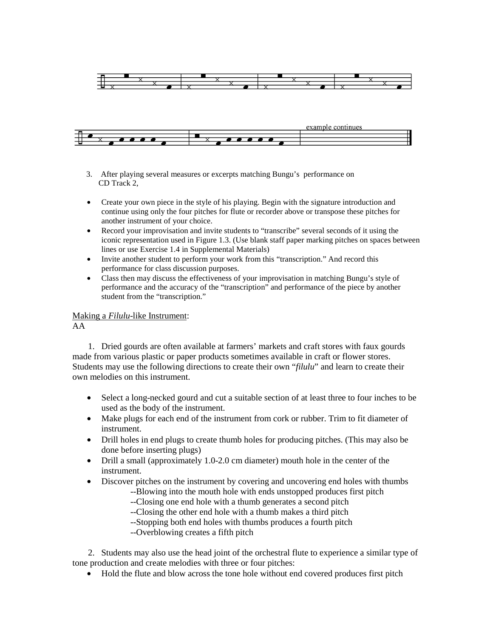



- 3. After playing several measures or excerpts matching Bungu's performance on CD Track 2,
- Create your own piece in the style of his playing. Begin with the signature introduction and continue using only the four pitches for flute or recorder above or transpose these pitches for another instrument of your choice.
- Record your improvisation and invite students to "transcribe" several seconds of it using the iconic representation used in Figure 1.3. (Use blank staff paper marking pitches on spaces between lines or use Exercise 1.4 in Supplemental Materials)
- Invite another student to perform your work from this "transcription." And record this performance for class discussion purposes.
- Class then may discuss the effectiveness of your improvisation in matching Bungu's style of performance and the accuracy of the "transcription" and performance of the piece by another student from the "transcription."

# Making a *Filulu*-like Instrument:

#### AA

 1. Dried gourds are often available at farmers' markets and craft stores with faux gourds made from various plastic or paper products sometimes available in craft or flower stores. Students may use the following directions to create their own "*filulu*" and learn to create their own melodies on this instrument.

- Select a long-necked gourd and cut a suitable section of at least three to four inches to be used as the body of the instrument.
- Make plugs for each end of the instrument from cork or rubber. Trim to fit diameter of instrument.
- Drill holes in end plugs to create thumb holes for producing pitches. (This may also be done before inserting plugs)
- Drill a small (approximately 1.0-2.0 cm diameter) mouth hole in the center of the instrument.
- Discover pitches on the instrument by covering and uncovering end holes with thumbs
	- --Blowing into the mouth hole with ends unstopped produces first pitch
	- --Closing one end hole with a thumb generates a second pitch
	- --Closing the other end hole with a thumb makes a third pitch
	- --Stopping both end holes with thumbs produces a fourth pitch
	- --Overblowing creates a fifth pitch

 2. Students may also use the head joint of the orchestral flute to experience a similar type of tone production and create melodies with three or four pitches:

• Hold the flute and blow across the tone hole without end covered produces first pitch